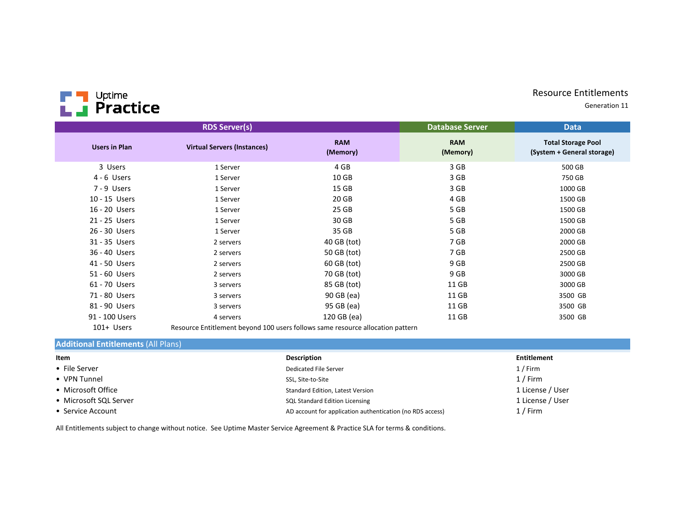## Resource Entitlements

Generation 11



|                      | <b>RDS Server(s)</b>               |                        | <b>Database Server</b> | <b>Data</b>                                             |
|----------------------|------------------------------------|------------------------|------------------------|---------------------------------------------------------|
| <b>Users in Plan</b> | <b>Virtual Servers (Instances)</b> | <b>RAM</b><br>(Memory) | <b>RAM</b><br>(Memory) | <b>Total Storage Pool</b><br>(System + General storage) |
| 3 Users              | 1 Server                           | 4 GB                   | 3 GB                   | 500 GB                                                  |
| 4 - 6 Users          | 1 Server                           | 10 <sub>GB</sub>       | 3 GB                   | 750 GB                                                  |
| 7 - 9 Users          | 1 Server                           | 15 <sub>GB</sub>       | 3 GB                   | 1000 GB                                                 |
| 10 - 15 Users        | 1 Server                           | 20 GB                  | 4 GB                   | 1500 GB                                                 |
| 16 - 20 Users        | 1 Server                           | 25 GB                  | 5 GB                   | 1500 GB                                                 |
| 21 - 25 Users        | 1 Server                           | 30 GB                  | 5 GB                   | 1500 GB                                                 |
| 26 - 30 Users        | 1 Server                           | 35 GB                  | 5 GB                   | 2000 GB                                                 |
| 31 - 35 Users        | 2 servers                          | 40 GB (tot)            | 7 GB                   | 2000 GB                                                 |
| 36 - 40 Users        | 2 servers                          | 50 GB (tot)            | 7 GB                   | 2500 GB                                                 |
| 41 - 50 Users        | 2 servers                          | 60 GB (tot)            | 9 GB                   | 2500 GB                                                 |
| 51 - 60 Users        | 2 servers                          | 70 GB (tot)            | 9 GB                   | 3000 GB                                                 |
| 61 - 70 Users        | 3 servers                          | 85 GB (tot)            | 11 GB                  | 3000 GB                                                 |
| 71 - 80 Users        | 3 servers                          | 90 GB (ea)             | 11 GB                  | 3500 GB                                                 |
| 81 - 90 Users        | 3 servers                          | 95 GB (ea)             | 11 GB                  | 3500 GB                                                 |
| 91 - 100 Users       | 4 servers                          | 120 GB (ea)            | 11 GB                  | 3500 GB                                                 |
|                      |                                    |                        |                        |                                                         |

101+ UsersResource Entitlement beyond 100 users follows same resource allocation pattern

## **Additional Entitlements** (All Plans)

| Item                   | <b>Description</b>                                        | Entitlement      |
|------------------------|-----------------------------------------------------------|------------------|
| • File Server          | Dedicated File Server                                     | 1 / Firm         |
| • VPN Tunnel           | SSL, Site-to-Site                                         | 1 / Firm         |
| • Microsoft Office     | Standard Edition, Latest Version                          | 1 License / User |
| • Microsoft SQL Server | <b>SQL Standard Edition Licensing</b>                     | 1 License / User |
| • Service Account      | AD account for application authentication (no RDS access) | 1 / Firm         |

All Entitlements subject to change without notice. See Uptime Master Service Agreement & Practice SLA for terms & conditions.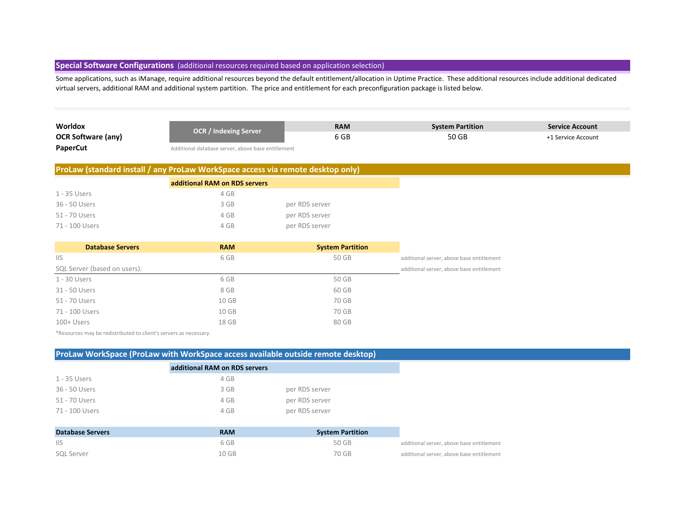# **Special Software Configurations** (additional resources required based on application selection)

Some applications, such as iManage, require additional resources beyond the default entitlement/allocation in Uptime Practice. These additional resources include additional dedicated virtual servers, additional RAM and additional system partition. The price and entitlement for each preconfiguration package is listed below.

| Worldox                   | <b>OCR / Indexing Server</b>                       | <b>RAM</b> | <b>System Partition</b> | <b>Service Account</b> |
|---------------------------|----------------------------------------------------|------------|-------------------------|------------------------|
| <b>OCR Software (any)</b> |                                                    | 6 GB       | 50 GB                   | +1 Service Account     |
| <b>PaperCut</b>           | Additional database server, above base entitlement |            |                         |                        |

Additional database server, above base entitlement

### **ProLaw (standard install / any ProLaw WorkSpace access via remote desktop only)**

|                | additional RAM on RDS servers |                |
|----------------|-------------------------------|----------------|
| 1 - 35 Users   | 4 GB                          |                |
| 36 - 50 Users  | 3 GB                          | per RDS server |
| 51 - 70 Users  | 4 GB                          | per RDS server |
| 71 - 100 Users | 4 GB                          | per RDS server |

| <b>Database Servers</b>      | <b>RAM</b> | <b>System Partition</b> |                                           |
|------------------------------|------------|-------------------------|-------------------------------------------|
| <b>IIS</b>                   | 6 GB       | 50 GB                   | additional server, above base entitlement |
| SQL Server (based on users): |            |                         | additional server, above base entitlement |
| 1 - 30 Users                 | 6 GB       | 50 GB                   |                                           |
| 31 - 50 Users                | 8 GB       | 60 GB                   |                                           |
| 51 - 70 Users                | 10 GB      | 70 GB                   |                                           |
| 71 - 100 Users               | 10 GB      | 70 GB                   |                                           |
| $100 +$ Users                | 18 GB      | 80 GB                   |                                           |

\*Resources may be redistributed to client's servers as necessary.

| ProLaw WorkSpace (ProLaw with WorkSpace access available outside remote desktop) |                               |                         |  |
|----------------------------------------------------------------------------------|-------------------------------|-------------------------|--|
|                                                                                  | additional RAM on RDS servers |                         |  |
| 1 - 35 Users                                                                     | 4 GB                          |                         |  |
| 36 - 50 Users                                                                    | 3 GB                          | per RDS server          |  |
| 51 - 70 Users                                                                    | 4 GB                          | per RDS server          |  |
| 71 - 100 Users                                                                   | 4 GB                          | per RDS server          |  |
|                                                                                  |                               |                         |  |
| <b>Database Servers</b>                                                          | <b>RAM</b>                    | <b>System Partition</b> |  |
| <b>IIS</b>                                                                       | 6 GB                          | 50 GB                   |  |

| <b>SQL Server</b> | 10 GB | 70 GB | additional server, above base entitlement |
|-------------------|-------|-------|-------------------------------------------|
|                   |       |       |                                           |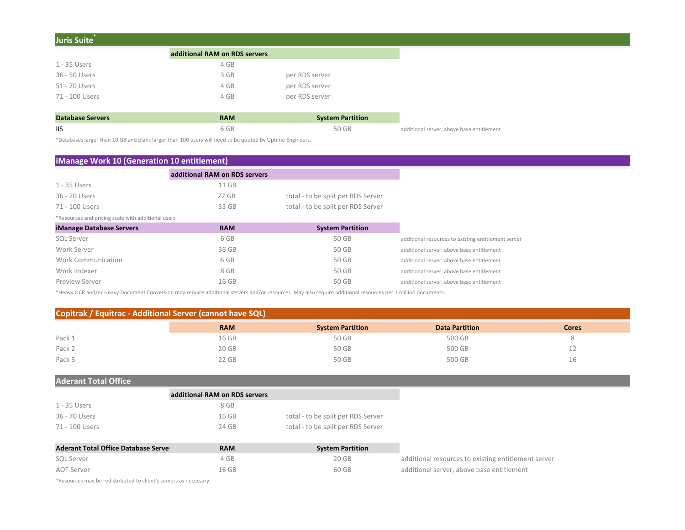| Juris Suite <sup>®</sup> |                               |                         |
|--------------------------|-------------------------------|-------------------------|
|                          | additional RAM on RDS servers |                         |
| 1 - 35 Users             | 4 GB                          |                         |
| 36 - 50 Users            | 3 GB                          | per RDS server          |
| 51 - 70 Users            | 4 GB                          | per RDS server          |
| 71 - 100 Users           | 4 GB                          | per RDS server          |
|                          |                               |                         |
| Databaco Servers         | <b>DAM</b>                    | <b>Cuctom Dartition</b> |

| Database Servers | <b>RAM</b> | <b>System Partition</b> |                                           |
|------------------|------------|-------------------------|-------------------------------------------|
|                  | 6 GB       | 50 GB                   | additional server, above base entitlement |

\*Databases larger than 10 GB and plans larger than 100 users will need to be quoted by Uptime Engineers.

# **iManage Work 10 (Generation 10 entitlement)**

|                                                    | additional RAM on RDS servers |                                    |
|----------------------------------------------------|-------------------------------|------------------------------------|
| 1 - 35 Users                                       | 11 GB                         |                                    |
| 36 - 70 Users                                      | $22$ GB                       | total - to be split per RDS Server |
| 71 - 100 Users                                     | 33 GB                         | total - to be split per RDS Server |
| *Resources and pricing scale with additional users |                               |                                    |
| <b>iManage Database Servers</b>                    | <b>RAM</b>                    | <b>System Partition</b>            |
| <b>SQL Server</b>                                  | 6 GB                          | 50 GB                              |
| Work Server                                        | 36 GB                         | 50 GB                              |
| Work Communication                                 | 6 GB                          | 50 GB                              |
| Work Indexer                                       | 8 GB                          | 50 GB                              |
| <b>Preview Server</b>                              | 16 GB                         | 50 GB                              |

\*Heavy OCR and/or Heavy Document Conversion may require additional servers and/or resources. May also require additional resources per 1 million documents.

### **Copitrak / Equitrac - Additional Server (cannot have SQL)**

|        | <b>RAM</b> | <b>System Partition</b> | <b>Data Partition</b> | <b>Cores</b> |
|--------|------------|-------------------------|-----------------------|--------------|
| Pack 1 | 16 GB      | 50 GB                   | 500 GB                |              |
| Pack 2 | 20 GB      | 50 GB                   | 500 GB                |              |
| Pack 3 | 22 GB      | 50 GB                   | 500 GB                | Τp           |

# **Aderant Total Office**

|                | additional RAM on RDS servers |                                    |
|----------------|-------------------------------|------------------------------------|
| 1 - 35 Users   | 8 GB                          |                                    |
| 36 - 70 Users  | 16 GB                         | total - to be split per RDS Server |
| 71 - 100 Users | 24 GB                         | total - to be split per RDS Server |

| <b>Aderant Total Office Database Serve</b> | RAM   | <b>System Partition</b> |                                                     |
|--------------------------------------------|-------|-------------------------|-----------------------------------------------------|
| SQL Server                                 | 4 GB  | 20 GB                   | additional resources to existing entitlement server |
| AOT Server                                 | 16 GB | 60 GB                   | additional server, above base entitlement           |

\*Resources may be redistributed to client's servers as necessary.